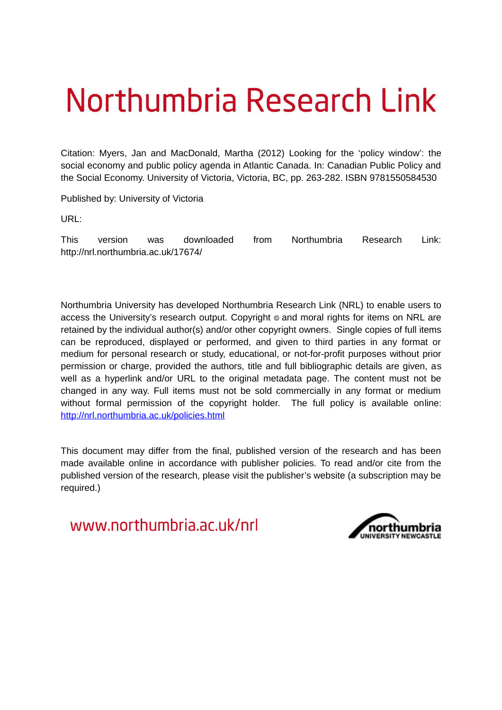# Northumbria Research Link

Citation: Myers, Jan and MacDonald, Martha (2012) Looking for the 'policy window': the social economy and public policy agenda in Atlantic Canada. In: Canadian Public Policy and the Social Economy. University of Victoria, Victoria, BC, pp. 263-282. ISBN 9781550584530

Published by: University of Victoria

URL:

This version was downloaded from Northumbria Research Link: http://nrl.northumbria.ac.uk/17674/

Northumbria University has developed Northumbria Research Link (NRL) to enable users to access the University's research output. Copyright  $\circ$  and moral rights for items on NRL are retained by the individual author(s) and/or other copyright owners. Single copies of full items can be reproduced, displayed or performed, and given to third parties in any format or medium for personal research or study, educational, or not-for-profit purposes without prior permission or charge, provided the authors, title and full bibliographic details are given, as well as a hyperlink and/or URL to the original metadata page. The content must not be changed in any way. Full items must not be sold commercially in any format or medium without formal permission of the copyright holder. The full policy is available online: <http://nrl.northumbria.ac.uk/policies.html>

This document may differ from the final, published version of the research and has been made available online in accordance with publisher policies. To read and/or cite from the published version of the research, please visit the publisher's website (a subscription may be required.)

www.northumbria.ac.uk/nrl

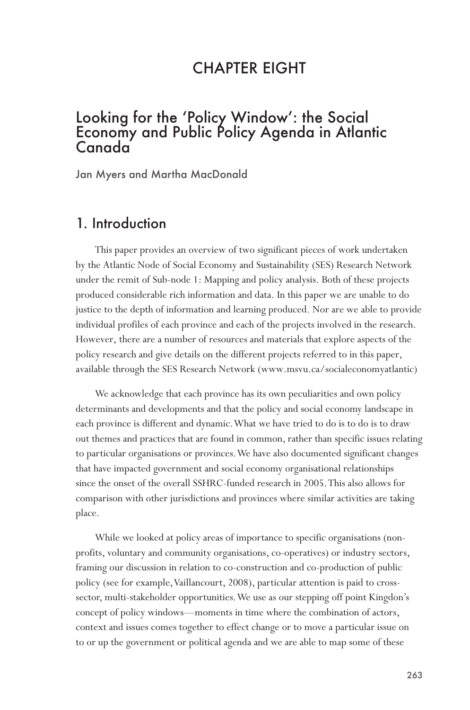# CHAPTER EIGHT

## Looking for the 'Policy Window': the Social Economy and Public Policy Agenda in Atlantic Canada

Jan Myers and Martha MacDonald

# 1. Introduction

This paper provides an overview of two significant pieces of work undertaken by the Atlantic Node of Social Economy and Sustainability (SES) Research Network under the remit of Sub-node 1: Mapping and policy analysis. Both of these projects produced considerable rich information and data. In this paper we are unable to do justice to the depth of information and learning produced. Nor are we able to provide individual profiles of each province and each of the projects involved in the research. However, there are a number of resources and materials that explore aspects of the policy research and give details on the different projects referred to in this paper, available through the SES Research Network (www.msvu.ca/socialeconomyatlantic)

We acknowledge that each province has its own peculiarities and own policy determinants and developments and that the policy and social economy landscape in each province is different and dynamic. What we have tried to do is to do is to draw out themes and practices that are found in common, rather than specific issues relating to particular organisations or provinces. We have also documented significant changes that have impacted government and social economy organisational relationships since the onset of the overall SSHRC-funded research in 2005. This also allows for comparison with other jurisdictions and provinces where similar activities are taking place.

While we looked at policy areas of importance to specific organisations (nonprofits, voluntary and community organisations, co-operatives) or industry sectors, framing our discussion in relation to co-construction and co-production of public policy (see for example, Vaillancourt, 2008), particular attention is paid to crosssector, multi-stakeholder opportunities. We use as our stepping off point Kingdon's concept of policy windows—moments in time where the combination of actors, context and issues comes together to effect change or to move a particular issue on to or up the government or political agenda and we are able to map some of these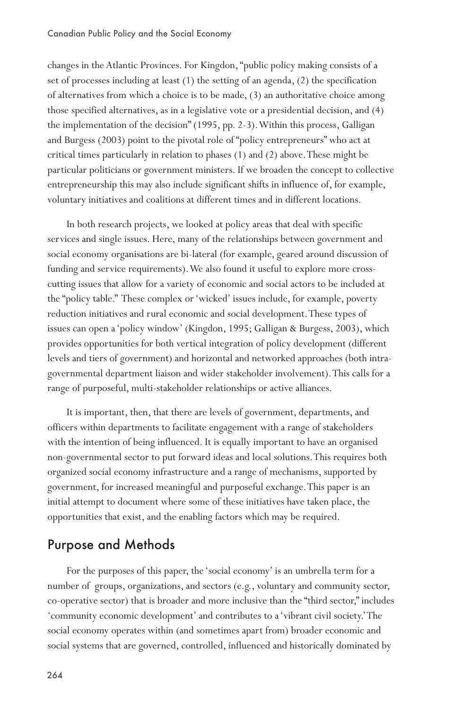changes in the Atlantic Provinces. For Kingdon, "public policy making consists of a set of processes including at least (1) the setting of an agenda, (2) the specification of alternatives from which a choice is to be made, (3) an authoritative choice among those specified alternatives, as in a legislative vote or a presidential decision, and (4) the implementation of the decision" (1995, pp. 2-3). Within this process, Galligan and Burgess (2003) point to the pivotal role of "policy entrepreneurs" who act at critical times particularly in relation to phases (1) and (2) above. These might be particular politicians or government ministers. If we broaden the concept to collective entrepreneurship this may also include significant shifts in influence of, for example, voluntary initiatives and coalitions at different times and in different locations.

In both research projects, we looked at policy areas that deal with specific services and single issues. Here, many of the relationships between government and social economy organisations are bi-lateral (for example, geared around discussion of funding and service requirements). We also found it useful to explore more crosscutting issues that allow for a variety of economic and social actors to be included at the "policy table." These complex or 'wicked' issues include, for example, poverty reduction initiatives and rural economic and social development. These types of issues can open a 'policy window' (Kingdon, 1995; Galligan & Burgess, 2003), which provides opportunities for both vertical integration of policy development (different levels and tiers of government) and horizontal and networked approaches (both intragovernmental department liaison and wider stakeholder involvement). This calls for a range of purposeful, multi-stakeholder relationships or active alliances.

It is important, then, that there are levels of government, departments, and officers within departments to facilitate engagement with a range of stakeholders with the intention of being influenced. It is equally important to have an organised non-governmental sector to put forward ideas and local solutions. This requires both organized social economy infrastructure and a range of mechanisms, supported by government, for increased meaningful and purposeful exchange. This paper is an initial attempt to document where some of these initiatives have taken place, the opportunities that exist, and the enabling factors which may be required.

#### Purpose and Methods

For the purposes of this paper, the 'social economy' is an umbrella term for a number of groups, organizations, and sectors (e.g., voluntary and community sector, co-operative sector) that is broader and more inclusive than the "third sector," includes 'community economic development' and contributes to a 'vibrant civil society.' The social economy operates within (and sometimes apart from) broader economic and social systems that are governed, controlled, influenced and historically dominated by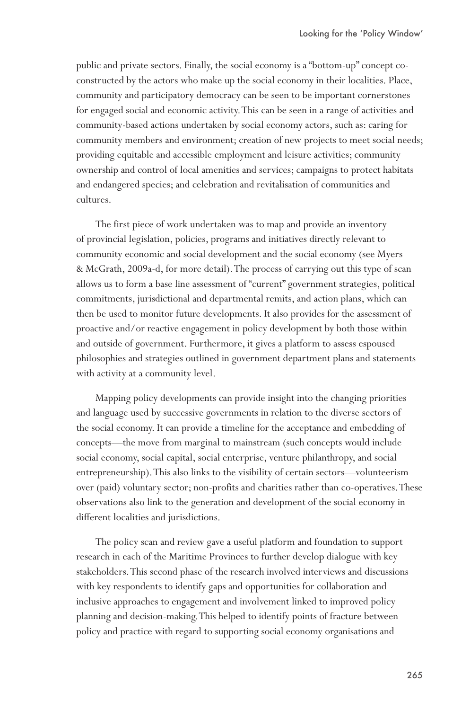public and private sectors. Finally, the social economy is a "bottom-up" concept coconstructed by the actors who make up the social economy in their localities. Place, community and participatory democracy can be seen to be important cornerstones for engaged social and economic activity. This can be seen in a range of activities and community-based actions undertaken by social economy actors, such as: caring for community members and environment; creation of new projects to meet social needs; providing equitable and accessible employment and leisure activities; community ownership and control of local amenities and services; campaigns to protect habitats and endangered species; and celebration and revitalisation of communities and cultures.

The first piece of work undertaken was to map and provide an inventory of provincial legislation, policies, programs and initiatives directly relevant to community economic and social development and the social economy (see Myers & McGrath, 2009a-d, for more detail). The process of carrying out this type of scan allows us to form a base line assessment of "current" government strategies, political commitments, jurisdictional and departmental remits, and action plans, which can then be used to monitor future developments. It also provides for the assessment of proactive and/or reactive engagement in policy development by both those within and outside of government. Furthermore, it gives a platform to assess espoused philosophies and strategies outlined in government department plans and statements with activity at a community level.

Mapping policy developments can provide insight into the changing priorities and language used by successive governments in relation to the diverse sectors of the social economy. It can provide a timeline for the acceptance and embedding of concepts—the move from marginal to mainstream (such concepts would include social economy, social capital, social enterprise, venture philanthropy, and social entrepreneurship). This also links to the visibility of certain sectors—volunteerism over (paid) voluntary sector; non-profits and charities rather than co-operatives. These observations also link to the generation and development of the social economy in different localities and jurisdictions.

The policy scan and review gave a useful platform and foundation to support research in each of the Maritime Provinces to further develop dialogue with key stakeholders. This second phase of the research involved interviews and discussions with key respondents to identify gaps and opportunities for collaboration and inclusive approaches to engagement and involvement linked to improved policy planning and decision-making. This helped to identify points of fracture between policy and practice with regard to supporting social economy organisations and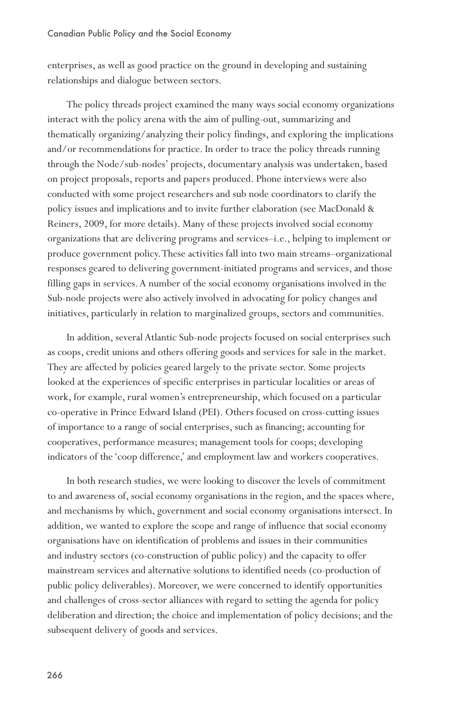enterprises, as well as good practice on the ground in developing and sustaining relationships and dialogue between sectors.

The policy threads project examined the many ways social economy organizations interact with the policy arena with the aim of pulling-out, summarizing and thematically organizing/analyzing their policy findings, and exploring the implications and/or recommendations for practice. In order to trace the policy threads running through the Node/sub-nodes' projects, documentary analysis was undertaken, based on project proposals, reports and papers produced. Phone interviews were also conducted with some project researchers and sub node coordinators to clarify the policy issues and implications and to invite further elaboration (see MacDonald & Reiners, 2009, for more details). Many of these projects involved social economy organizations that are delivering programs and services–i.e., helping to implement or produce government policy. These activities fall into two main streams–organizational responses geared to delivering government-initiated programs and services, and those filling gaps in services. A number of the social economy organisations involved in the Sub-node projects were also actively involved in advocating for policy changes and initiatives, particularly in relation to marginalized groups, sectors and communities.

In addition, several Atlantic Sub-node projects focused on social enterprises such as coops, credit unions and others offering goods and services for sale in the market. They are affected by policies geared largely to the private sector. Some projects looked at the experiences of specific enterprises in particular localities or areas of work, for example, rural women's entrepreneurship, which focused on a particular co-operative in Prince Edward Island (PEI). Others focused on cross-cutting issues of importance to a range of social enterprises, such as financing; accounting for cooperatives, performance measures; management tools for coops; developing indicators of the 'coop difference,' and employment law and workers cooperatives.

In both research studies, we were looking to discover the levels of commitment to and awareness of, social economy organisations in the region, and the spaces where, and mechanisms by which, government and social economy organisations intersect. In addition, we wanted to explore the scope and range of influence that social economy organisations have on identification of problems and issues in their communities and industry sectors (co-construction of public policy) and the capacity to offer mainstream services and alternative solutions to identified needs (co-production of public policy deliverables). Moreover, we were concerned to identify opportunities and challenges of cross-sector alliances with regard to setting the agenda for policy deliberation and direction; the choice and implementation of policy decisions; and the subsequent delivery of goods and services.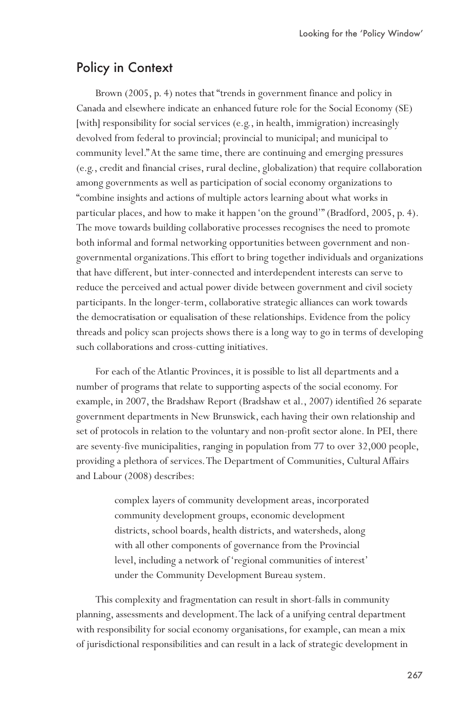#### Policy in Context

Brown (2005, p. 4) notes that "trends in government finance and policy in Canada and elsewhere indicate an enhanced future role for the Social Economy (SE) [with] responsibility for social services (e.g., in health, immigration) increasingly devolved from federal to provincial; provincial to municipal; and municipal to community level." At the same time, there are continuing and emerging pressures (e.g., credit and financial crises, rural decline, globalization) that require collaboration among governments as well as participation of social economy organizations to "combine insights and actions of multiple actors learning about what works in particular places, and how to make it happen 'on the ground'" (Bradford, 2005, p. 4). The move towards building collaborative processes recognises the need to promote both informal and formal networking opportunities between government and nongovernmental organizations. This effort to bring together individuals and organizations that have different, but inter-connected and interdependent interests can serve to reduce the perceived and actual power divide between government and civil society participants. In the longer-term, collaborative strategic alliances can work towards the democratisation or equalisation of these relationships. Evidence from the policy threads and policy scan projects shows there is a long way to go in terms of developing such collaborations and cross-cutting initiatives.

For each of the Atlantic Provinces, it is possible to list all departments and a number of programs that relate to supporting aspects of the social economy. For example, in 2007, the Bradshaw Report (Bradshaw et al., 2007) identified 26 separate government departments in New Brunswick, each having their own relationship and set of protocols in relation to the voluntary and non-profit sector alone. In PEI, there are seventy-five municipalities, ranging in population from 77 to over 32,000 people, providing a plethora of services. The Department of Communities, Cultural Affairs and Labour (2008) describes:

> complex layers of community development areas, incorporated community development groups, economic development districts, school boards, health districts, and watersheds, along with all other components of governance from the Provincial level, including a network of 'regional communities of interest' under the Community Development Bureau system.

This complexity and fragmentation can result in short-falls in community planning, assessments and development. The lack of a unifying central department with responsibility for social economy organisations, for example, can mean a mix of jurisdictional responsibilities and can result in a lack of strategic development in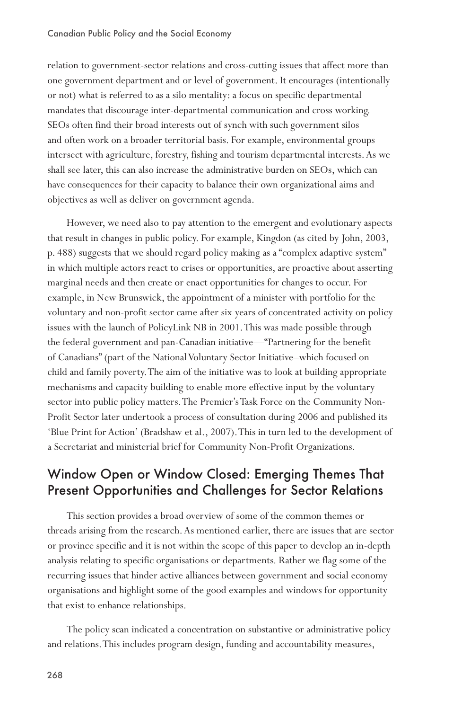relation to government-sector relations and cross-cutting issues that affect more than one government department and or level of government. It encourages (intentionally or not) what is referred to as a silo mentality: a focus on specific departmental mandates that discourage inter-departmental communication and cross working. SEOs often find their broad interests out of synch with such government silos and often work on a broader territorial basis. For example, environmental groups intersect with agriculture, forestry, fishing and tourism departmental interests. As we shall see later, this can also increase the administrative burden on SEOs, which can have consequences for their capacity to balance their own organizational aims and objectives as well as deliver on government agenda.

However, we need also to pay attention to the emergent and evolutionary aspects that result in changes in public policy. For example, Kingdon (as cited by John, 2003, p. 488) suggests that we should regard policy making as a "complex adaptive system" in which multiple actors react to crises or opportunities, are proactive about asserting marginal needs and then create or enact opportunities for changes to occur. For example, in New Brunswick, the appointment of a minister with portfolio for the voluntary and non-profit sector came after six years of concentrated activity on policy issues with the launch of PolicyLink NB in 2001. This was made possible through the federal government and pan-Canadian initiative—"Partnering for the benefit of Canadians" (part of the National Voluntary Sector Initiative–which focused on child and family poverty. The aim of the initiative was to look at building appropriate mechanisms and capacity building to enable more effective input by the voluntary sector into public policy matters. The Premier's Task Force on the Community Non-Profit Sector later undertook a process of consultation during 2006 and published its 'Blue Print for Action' (Bradshaw et al., 2007). This in turn led to the development of a Secretariat and ministerial brief for Community Non-Profit Organizations.

### Window Open or Window Closed: Emerging Themes That Present Opportunities and Challenges for Sector Relations

This section provides a broad overview of some of the common themes or threads arising from the research. As mentioned earlier, there are issues that are sector or province specific and it is not within the scope of this paper to develop an in-depth analysis relating to specific organisations or departments. Rather we flag some of the recurring issues that hinder active alliances between government and social economy organisations and highlight some of the good examples and windows for opportunity that exist to enhance relationships.

The policy scan indicated a concentration on substantive or administrative policy and relations. This includes program design, funding and accountability measures,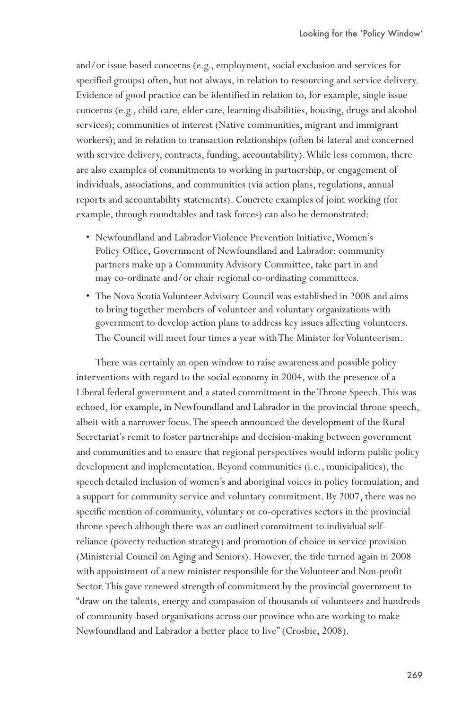and/or issue based concerns (e.g., employment, social exclusion and services for specified groups) often, but not always, in relation to resourcing and service delivery. Evidence of good practice can be identified in relation to, for example, single issue concerns (e.g., child care, elder care, learning disabilities, housing, drugs and alcohol services); communities of interest (Native communities, migrant and immigrant workers); and in relation to transaction relationships (often bi-lateral and concerned with service delivery, contracts, funding, accountability). While less common, there are also examples of commitments to working in partnership, or engagement of individuals, associations, and communities (via action plans, regulations, annual reports and accountability statements). Concrete examples of joint working (for example, through roundtables and task forces) can also be demonstrated:

- • Newfoundland and Labrador Violence Prevention Initiative, Women's Policy Office, Government of Newfoundland and Labrador: community partners make up a Community Advisory Committee, take part in and may co-ordinate and/or chair regional co-ordinating committees.
- The Nova Scotia Volunteer Advisory Council was established in 2008 and aims to bring together members of volunteer and voluntary organizations with government to develop action plans to address key issues affecting volunteers. The Council will meet four times a year with The Minister for Volunteerism.

There was certainly an open window to raise awareness and possible policy interventions with regard to the social economy in 2004, with the presence of a Liberal federal government and a stated commitment in the Throne Speech. This was echoed, for example, in Newfoundland and Labrador in the provincial throne speech, albeit with a narrower focus. The speech announced the development of the Rural Secretariat's remit to foster partnerships and decision-making between government and communities and to ensure that regional perspectives would inform public policy development and implementation. Beyond communities (i.e., municipalities), the speech detailed inclusion of women's and aboriginal voices in policy formulation, and a support for community service and voluntary commitment. By 2007, there was no specific mention of community, voluntary or co-operatives sectors in the provincial throne speech although there was an outlined commitment to individual selfreliance (poverty reduction strategy) and promotion of choice in service provision (Ministerial Council on Aging and Seniors). However, the tide turned again in 2008 with appointment of a new minister responsible for the Volunteer and Non-profit Sector. This gave renewed strength of commitment by the provincial government to "draw on the talents, energy and compassion of thousands of volunteers and hundreds of community-based organisations across our province who are working to make Newfoundland and Labrador a better place to live" (Crosbie, 2008).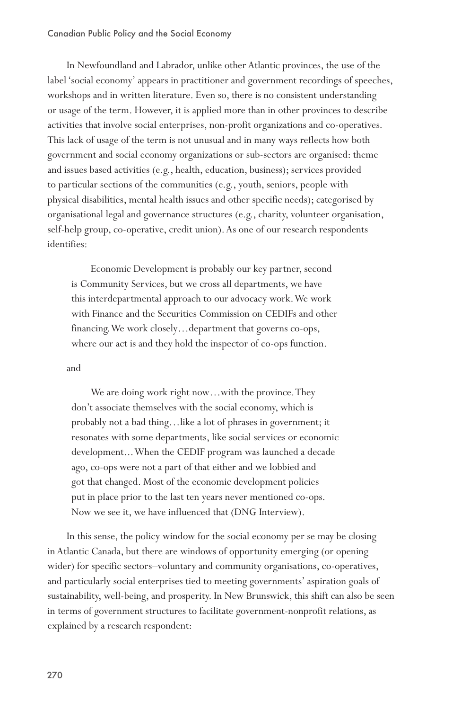In Newfoundland and Labrador, unlike other Atlantic provinces, the use of the label 'social economy' appears in practitioner and government recordings of speeches, workshops and in written literature. Even so, there is no consistent understanding or usage of the term. However, it is applied more than in other provinces to describe activities that involve social enterprises, non-profit organizations and co-operatives. This lack of usage of the term is not unusual and in many ways reflects how both government and social economy organizations or sub-sectors are organised: theme and issues based activities (e.g., health, education, business); services provided to particular sections of the communities (e.g., youth, seniors, people with physical disabilities, mental health issues and other specific needs); categorised by organisational legal and governance structures (e.g., charity, volunteer organisation, self-help group, co-operative, credit union). As one of our research respondents identifies:

Economic Development is probably our key partner, second is Community Services, but we cross all departments, we have this interdepartmental approach to our advocacy work. We work with Finance and the Securities Commission on CEDIFs and other financing. We work closely…department that governs co-ops, where our act is and they hold the inspector of co-ops function.

#### and

We are doing work right now…with the province. They don't associate themselves with the social economy, which is probably not a bad thing…like a lot of phrases in government; it resonates with some departments, like social services or economic development... When the CEDIF program was launched a decade ago, co-ops were not a part of that either and we lobbied and got that changed. Most of the economic development policies put in place prior to the last ten years never mentioned co-ops. Now we see it, we have influenced that (DNG Interview).

In this sense, the policy window for the social economy per se may be closing in Atlantic Canada, but there are windows of opportunity emerging (or opening wider) for specific sectors–voluntary and community organisations, co-operatives, and particularly social enterprises tied to meeting governments' aspiration goals of sustainability, well-being, and prosperity. In New Brunswick, this shift can also be seen in terms of government structures to facilitate government-nonprofit relations, as explained by a research respondent: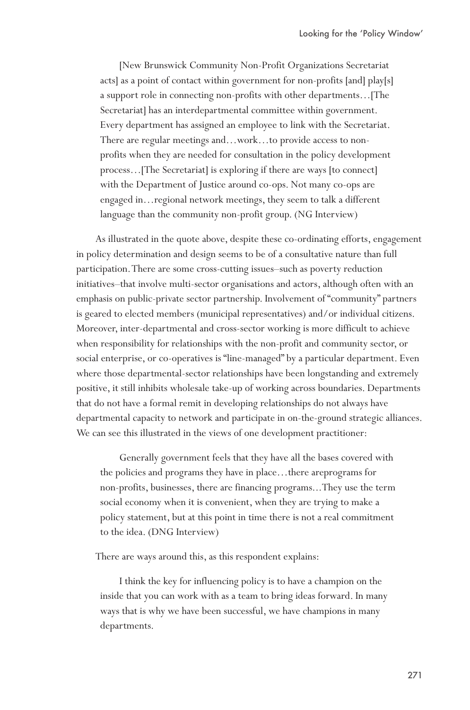[New Brunswick Community Non-Profit Organizations Secretariat acts] as a point of contact within government for non-profits [and] play[s] a support role in connecting non-profits with other departments…[The Secretariat] has an interdepartmental committee within government. Every department has assigned an employee to link with the Secretariat. There are regular meetings and…work…to provide access to nonprofits when they are needed for consultation in the policy development process…[The Secretariat] is exploring if there are ways [to connect] with the Department of Justice around co-ops. Not many co-ops are engaged in…regional network meetings, they seem to talk a different language than the community non-profit group. (NG Interview)

As illustrated in the quote above, despite these co-ordinating efforts, engagement in policy determination and design seems to be of a consultative nature than full participation. There are some cross-cutting issues–such as poverty reduction initiatives–that involve multi-sector organisations and actors, although often with an emphasis on public-private sector partnership. Involvement of "community" partners is geared to elected members (municipal representatives) and/or individual citizens. Moreover, inter-departmental and cross-sector working is more difficult to achieve when responsibility for relationships with the non-profit and community sector, or social enterprise, or co-operatives is "line-managed" by a particular department. Even where those departmental-sector relationships have been longstanding and extremely positive, it still inhibits wholesale take-up of working across boundaries. Departments that do not have a formal remit in developing relationships do not always have departmental capacity to network and participate in on-the-ground strategic alliances. We can see this illustrated in the views of one development practitioner:

Generally government feels that they have all the bases covered with the policies and programs they have in place…there areprograms for non-profits, businesses, there are financing programs...They use the term social economy when it is convenient, when they are trying to make a policy statement, but at this point in time there is not a real commitment to the idea. (DNG Interview)

There are ways around this, as this respondent explains:

I think the key for influencing policy is to have a champion on the inside that you can work with as a team to bring ideas forward. In many ways that is why we have been successful, we have champions in many departments.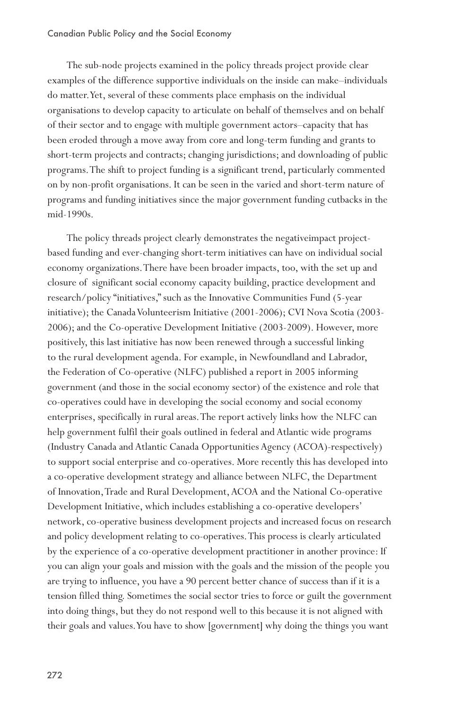The sub-node projects examined in the policy threads project provide clear examples of the difference supportive individuals on the inside can make–individuals do matter. Yet, several of these comments place emphasis on the individual organisations to develop capacity to articulate on behalf of themselves and on behalf of their sector and to engage with multiple government actors–capacity that has been eroded through a move away from core and long-term funding and grants to short-term projects and contracts; changing jurisdictions; and downloading of public programs. The shift to project funding is a significant trend, particularly commented on by non-profit organisations. It can be seen in the varied and short-term nature of programs and funding initiatives since the major government funding cutbacks in the mid-1990s.

The policy threads project clearly demonstrates the negativeimpact projectbased funding and ever-changing short-term initiatives can have on individual social economy organizations. There have been broader impacts, too, with the set up and closure of significant social economy capacity building, practice development and research/policy "initiatives," such as the Innovative Communities Fund (5-year initiative); the Canada Volunteerism Initiative (2001-2006); CVI Nova Scotia (2003- 2006); and the Co-operative Development Initiative (2003-2009). However, more positively, this last initiative has now been renewed through a successful linking to the rural development agenda. For example, in Newfoundland and Labrador, the Federation of Co-operative (NLFC) published a report in 2005 informing government (and those in the social economy sector) of the existence and role that co-operatives could have in developing the social economy and social economy enterprises, specifically in rural areas. The report actively links how the NLFC can help government fulfil their goals outlined in federal and Atlantic wide programs (Industry Canada and Atlantic Canada Opportunities Agency (ACOA)-respectively) to support social enterprise and co-operatives. More recently this has developed into a co-operative development strategy and alliance between NLFC, the Department of Innovation, Trade and Rural Development, ACOA and the National Co-operative Development Initiative, which includes establishing a co-operative developers' network, co-operative business development projects and increased focus on research and policy development relating to co-operatives. This process is clearly articulated by the experience of a co-operative development practitioner in another province: If you can align your goals and mission with the goals and the mission of the people you are trying to influence, you have a 90 percent better chance of success than if it is a tension filled thing. Sometimes the social sector tries to force or guilt the government into doing things, but they do not respond well to this because it is not aligned with their goals and values. You have to show [government] why doing the things you want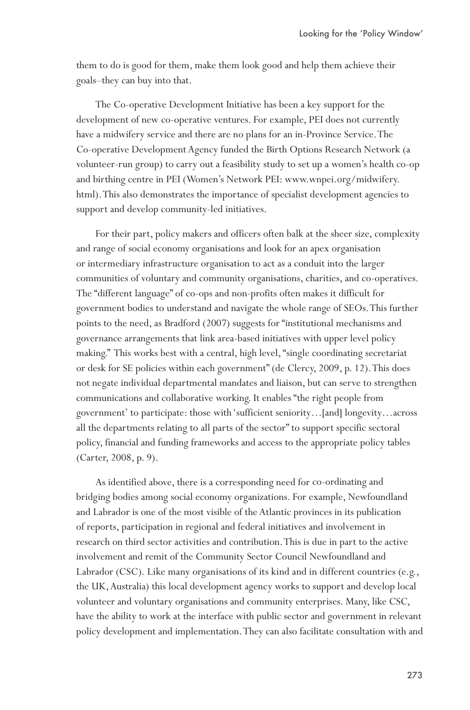them to do is good for them, make them look good and help them achieve their goals–they can buy into that.

The Co-operative Development Initiative has been a key support for the development of new co-operative ventures. For example, PEI does not currently have a midwifery service and there are no plans for an in-Province Service. The Co-operative Development Agency funded the Birth Options Research Network (a volunteer-run group) to carry out a feasibility study to set up a women's health co-op and birthing centre in PEI (Women's Network PEI: www.wnpei.org/midwifery. html). This also demonstrates the importance of specialist development agencies to support and develop community-led initiatives.

For their part, policy makers and officers often balk at the sheer size, complexity and range of social economy organisations and look for an apex organisation or intermediary infrastructure organisation to act as a conduit into the larger communities of voluntary and community organisations, charities, and co-operatives. The "different language" of co-ops and non-profits often makes it difficult for government bodies to understand and navigate the whole range of SEOs. This further points to the need, as Bradford (2007) suggests for "institutional mechanisms and governance arrangements that link area-based initiatives with upper level policy making." This works best with a central, high level, "single coordinating secretariat or desk for SE policies within each government" (de Clercy, 2009, p. 12). This does not negate individual departmental mandates and liaison, but can serve to strengthen communications and collaborative working. It enables "the right people from government' to participate: those with 'sufficient seniority…[and] longevity…across all the departments relating to all parts of the sector" to support specific sectoral policy, financial and funding frameworks and access to the appropriate policy tables (Carter, 2008, p. 9).

As identified above, there is a corresponding need for co-ordinating and bridging bodies among social economy organizations. For example, Newfoundland and Labrador is one of the most visible of the Atlantic provinces in its publication of reports, participation in regional and federal initiatives and involvement in research on third sector activities and contribution. This is due in part to the active involvement and remit of the Community Sector Council Newfoundland and Labrador (CSC). Like many organisations of its kind and in different countries (e.g., the UK, Australia) this local development agency works to support and develop local volunteer and voluntary organisations and community enterprises. Many, like CSC, have the ability to work at the interface with public sector and government in relevant policy development and implementation. They can also facilitate consultation with and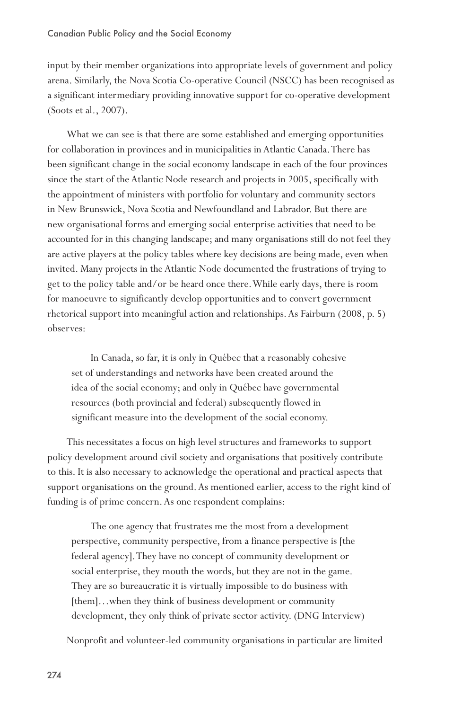input by their member organizations into appropriate levels of government and policy arena. Similarly, the Nova Scotia Co-operative Council (NSCC) has been recognised as a significant intermediary providing innovative support for co-operative development (Soots et al., 2007).

What we can see is that there are some established and emerging opportunities for collaboration in provinces and in municipalities in Atlantic Canada. There has been significant change in the social economy landscape in each of the four provinces since the start of the Atlantic Node research and projects in 2005, specifically with the appointment of ministers with portfolio for voluntary and community sectors in New Brunswick, Nova Scotia and Newfoundland and Labrador. But there are new organisational forms and emerging social enterprise activities that need to be accounted for in this changing landscape; and many organisations still do not feel they are active players at the policy tables where key decisions are being made, even when invited. Many projects in the Atlantic Node documented the frustrations of trying to get to the policy table and/or be heard once there. While early days, there is room for manoeuvre to significantly develop opportunities and to convert government rhetorical support into meaningful action and relationships. As Fairburn (2008, p. 5) observes:

In Canada, so far, it is only in Québec that a reasonably cohesive set of understandings and networks have been created around the idea of the social economy; and only in Québec have governmental resources (both provincial and federal) subsequently flowed in significant measure into the development of the social economy.

This necessitates a focus on high level structures and frameworks to support policy development around civil society and organisations that positively contribute to this. It is also necessary to acknowledge the operational and practical aspects that support organisations on the ground. As mentioned earlier, access to the right kind of funding is of prime concern. As one respondent complains:

The one agency that frustrates me the most from a development perspective, community perspective, from a finance perspective is [the federal agency]. They have no concept of community development or social enterprise, they mouth the words, but they are not in the game. They are so bureaucratic it is virtually impossible to do business with [them]...when they think of business development or community development, they only think of private sector activity. (DNG Interview)

Nonprofit and volunteer-led community organisations in particular are limited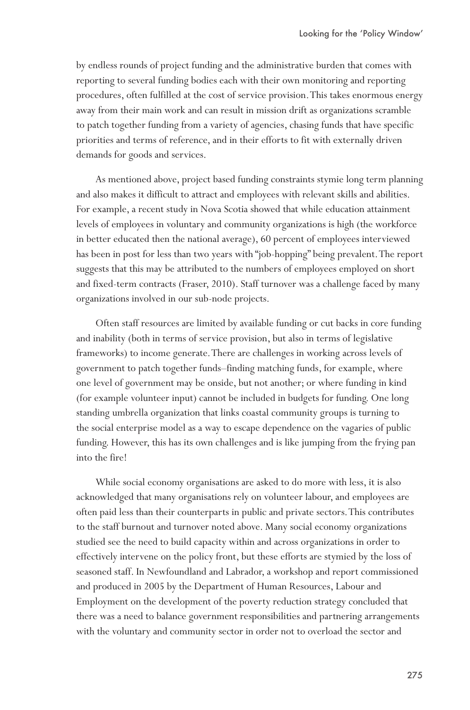by endless rounds of project funding and the administrative burden that comes with reporting to several funding bodies each with their own monitoring and reporting procedures, often fulfilled at the cost of service provision. This takes enormous energy away from their main work and can result in mission drift as organizations scramble to patch together funding from a variety of agencies, chasing funds that have specific priorities and terms of reference, and in their efforts to fit with externally driven demands for goods and services.

As mentioned above, project based funding constraints stymie long term planning and also makes it difficult to attract and employees with relevant skills and abilities. For example, a recent study in Nova Scotia showed that while education attainment levels of employees in voluntary and community organizations is high (the workforce in better educated then the national average), 60 percent of employees interviewed has been in post for less than two years with "job-hopping" being prevalent. The report suggests that this may be attributed to the numbers of employees employed on short and fixed-term contracts (Fraser, 2010). Staff turnover was a challenge faced by many organizations involved in our sub-node projects.

Often staff resources are limited by available funding or cut backs in core funding and inability (both in terms of service provision, but also in terms of legislative frameworks) to income generate. There are challenges in working across levels of government to patch together funds–finding matching funds, for example, where one level of government may be onside, but not another; or where funding in kind (for example volunteer input) cannot be included in budgets for funding. One long standing umbrella organization that links coastal community groups is turning to the social enterprise model as a way to escape dependence on the vagaries of public funding. However, this has its own challenges and is like jumping from the frying pan into the fire!

While social economy organisations are asked to do more with less, it is also acknowledged that many organisations rely on volunteer labour, and employees are often paid less than their counterparts in public and private sectors. This contributes to the staff burnout and turnover noted above. Many social economy organizations studied see the need to build capacity within and across organizations in order to effectively intervene on the policy front, but these efforts are stymied by the loss of seasoned staff. In Newfoundland and Labrador, a workshop and report commissioned and produced in 2005 by the Department of Human Resources, Labour and Employment on the development of the poverty reduction strategy concluded that there was a need to balance government responsibilities and partnering arrangements with the voluntary and community sector in order not to overload the sector and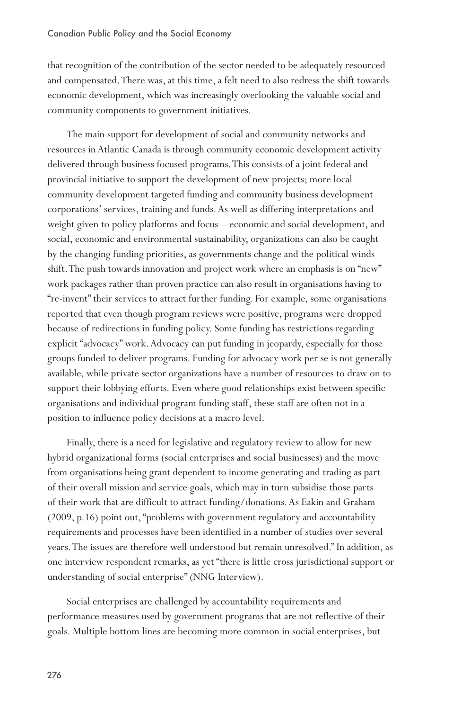that recognition of the contribution of the sector needed to be adequately resourced and compensated. There was, at this time, a felt need to also redress the shift towards economic development, which was increasingly overlooking the valuable social and community components to government initiatives.

The main support for development of social and community networks and resources in Atlantic Canada is through community economic development activity delivered through business focused programs. This consists of a joint federal and provincial initiative to support the development of new projects; more local community development targeted funding and community business development corporations' services, training and funds. As well as differing interpretations and weight given to policy platforms and focus—economic and social development, and social, economic and environmental sustainability, organizations can also be caught by the changing funding priorities, as governments change and the political winds shift. The push towards innovation and project work where an emphasis is on "new" work packages rather than proven practice can also result in organisations having to "re-invent" their services to attract further funding. For example, some organisations reported that even though program reviews were positive, programs were dropped because of redirections in funding policy. Some funding has restrictions regarding explicit "advocacy" work. Advocacy can put funding in jeopardy, especially for those groups funded to deliver programs. Funding for advocacy work per se is not generally available, while private sector organizations have a number of resources to draw on to support their lobbying efforts. Even where good relationships exist between specific organisations and individual program funding staff, these staff are often not in a position to influence policy decisions at a macro level.

Finally, there is a need for legislative and regulatory review to allow for new hybrid organizational forms (social enterprises and social businesses) and the move from organisations being grant dependent to income generating and trading as part of their overall mission and service goals, which may in turn subsidise those parts of their work that are difficult to attract funding/donations. As Eakin and Graham (2009, p.16) point out, "problems with government regulatory and accountability requirements and processes have been identified in a number of studies over several years. The issues are therefore well understood but remain unresolved." In addition, as one interview respondent remarks, as yet "there is little cross jurisdictional support or understanding of social enterprise" (NNG Interview).

Social enterprises are challenged by accountability requirements and performance measures used by government programs that are not reflective of their goals. Multiple bottom lines are becoming more common in social enterprises, but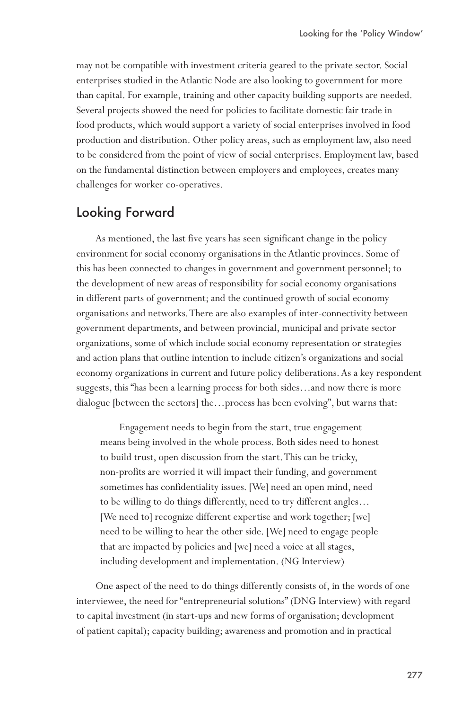may not be compatible with investment criteria geared to the private sector. Social enterprises studied in the Atlantic Node are also looking to government for more than capital. For example, training and other capacity building supports are needed. Several projects showed the need for policies to facilitate domestic fair trade in food products, which would support a variety of social enterprises involved in food production and distribution. Other policy areas, such as employment law, also need to be considered from the point of view of social enterprises. Employment law, based on the fundamental distinction between employers and employees, creates many challenges for worker co-operatives.

#### Looking Forward

As mentioned, the last five years has seen significant change in the policy environment for social economy organisations in the Atlantic provinces. Some of this has been connected to changes in government and government personnel; to the development of new areas of responsibility for social economy organisations in different parts of government; and the continued growth of social economy organisations and networks. There are also examples of inter-connectivity between government departments, and between provincial, municipal and private sector organizations, some of which include social economy representation or strategies and action plans that outline intention to include citizen's organizations and social economy organizations in current and future policy deliberations. As a key respondent suggests, this "has been a learning process for both sides…and now there is more dialogue [between the sectors] the…process has been evolving", but warns that:

Engagement needs to begin from the start, true engagement means being involved in the whole process. Both sides need to honest to build trust, open discussion from the start. This can be tricky, non-profits are worried it will impact their funding, and government sometimes has confidentiality issues. [We] need an open mind, need to be willing to do things differently, need to try different angles… [We need to] recognize different expertise and work together; [we] need to be willing to hear the other side. [We] need to engage people that are impacted by policies and [we] need a voice at all stages, including development and implementation. (NG Interview)

One aspect of the need to do things differently consists of, in the words of one interviewee, the need for "entrepreneurial solutions" (DNG Interview) with regard to capital investment (in start-ups and new forms of organisation; development of patient capital); capacity building; awareness and promotion and in practical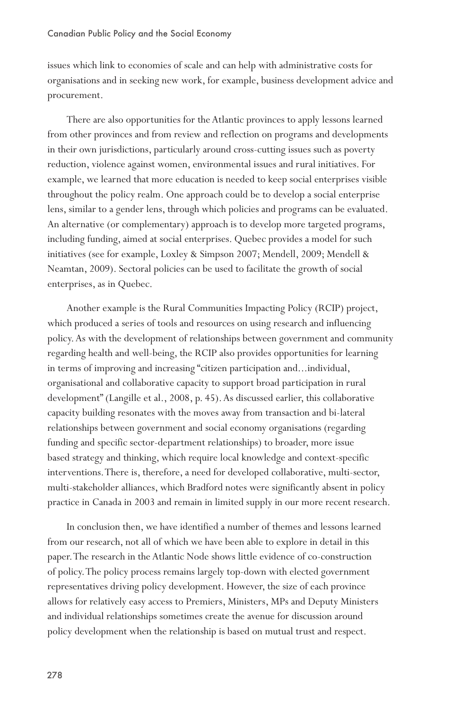issues which link to economies of scale and can help with administrative costs for organisations and in seeking new work, for example, business development advice and procurement.

There are also opportunities for the Atlantic provinces to apply lessons learned from other provinces and from review and reflection on programs and developments in their own jurisdictions, particularly around cross-cutting issues such as poverty reduction, violence against women, environmental issues and rural initiatives. For example, we learned that more education is needed to keep social enterprises visible throughout the policy realm. One approach could be to develop a social enterprise lens, similar to a gender lens, through which policies and programs can be evaluated. An alternative (or complementary) approach is to develop more targeted programs, including funding, aimed at social enterprises. Quebec provides a model for such initiatives (see for example, Loxley & Simpson 2007; Mendell, 2009; Mendell & Neamtan, 2009). Sectoral policies can be used to facilitate the growth of social enterprises, as in Quebec.

Another example is the Rural Communities Impacting Policy (RCIP) project, which produced a series of tools and resources on using research and influencing policy. As with the development of relationships between government and community regarding health and well-being, the RCIP also provides opportunities for learning in terms of improving and increasing "citizen participation and...individual, organisational and collaborative capacity to support broad participation in rural development" (Langille et al., 2008, p. 45). As discussed earlier, this collaborative capacity building resonates with the moves away from transaction and bi-lateral relationships between government and social economy organisations (regarding funding and specific sector-department relationships) to broader, more issue based strategy and thinking, which require local knowledge and context-specific interventions. There is, therefore, a need for developed collaborative, multi-sector, multi-stakeholder alliances, which Bradford notes were significantly absent in policy practice in Canada in 2003 and remain in limited supply in our more recent research.

In conclusion then, we have identified a number of themes and lessons learned from our research, not all of which we have been able to explore in detail in this paper. The research in the Atlantic Node shows little evidence of co-construction of policy. The policy process remains largely top-down with elected government representatives driving policy development. However, the size of each province allows for relatively easy access to Premiers, Ministers, MPs and Deputy Ministers and individual relationships sometimes create the avenue for discussion around policy development when the relationship is based on mutual trust and respect.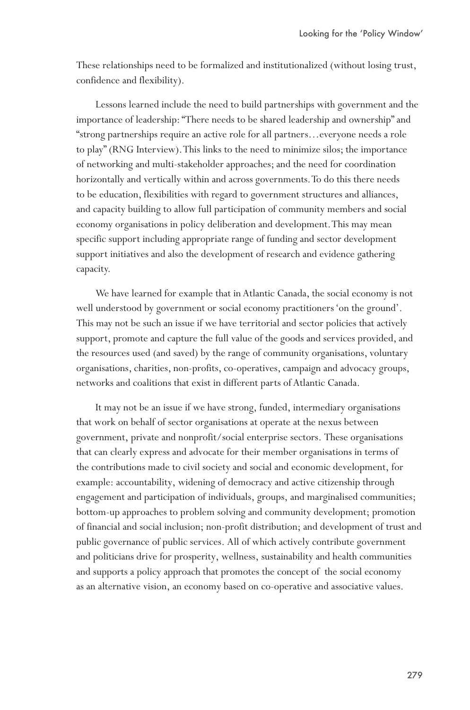These relationships need to be formalized and institutionalized (without losing trust, confidence and flexibility).

Lessons learned include the need to build partnerships with government and the importance of leadership: "There needs to be shared leadership and ownership" and "strong partnerships require an active role for all partners…everyone needs a role to play" (RNG Interview). This links to the need to minimize silos; the importance of networking and multi-stakeholder approaches; and the need for coordination horizontally and vertically within and across governments. To do this there needs to be education, flexibilities with regard to government structures and alliances, and capacity building to allow full participation of community members and social economy organisations in policy deliberation and development. This may mean specific support including appropriate range of funding and sector development support initiatives and also the development of research and evidence gathering capacity.

We have learned for example that in Atlantic Canada, the social economy is not well understood by government or social economy practitioners 'on the ground'. This may not be such an issue if we have territorial and sector policies that actively support, promote and capture the full value of the goods and services provided, and the resources used (and saved) by the range of community organisations, voluntary organisations, charities, non-profits, co-operatives, campaign and advocacy groups, networks and coalitions that exist in different parts of Atlantic Canada.

It may not be an issue if we have strong, funded, intermediary organisations that work on behalf of sector organisations at operate at the nexus between government, private and nonprofit/social enterprise sectors. These organisations that can clearly express and advocate for their member organisations in terms of the contributions made to civil society and social and economic development, for example: accountability, widening of democracy and active citizenship through engagement and participation of individuals, groups, and marginalised communities; bottom-up approaches to problem solving and community development; promotion of financial and social inclusion; non-profit distribution; and development of trust and public governance of public services. All of which actively contribute government and politicians drive for prosperity, wellness, sustainability and health communities and supports a policy approach that promotes the concept of the social economy as an alternative vision, an economy based on co-operative and associative values.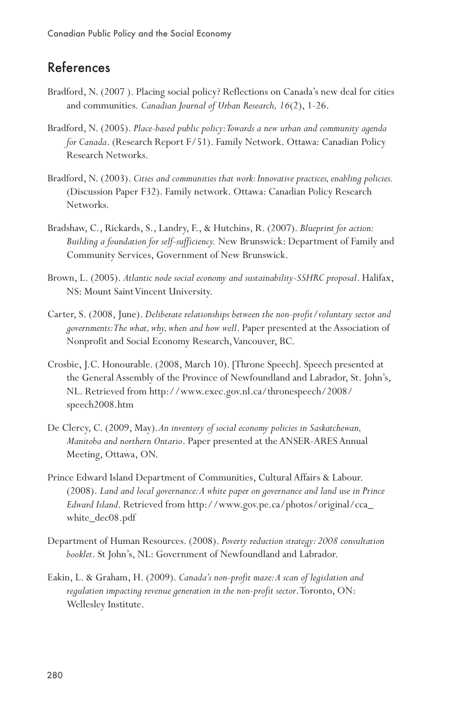### References

- Bradford, N. (2007 ). Placing social policy? Reflections on Canada's new deal for cities and communities. *Canadian Journal of Urban Research, 16*(2), 1-26.
- Bradford, N. (2005). *Place-based public policy: Towards a new urban and community agenda for Canada*. (Research Report F/51). Family Network. Ottawa: Canadian Policy Research Networks.
- Bradford, N. (2003). *Cities and communities that work: Innovative practices, enabling policies.* (Discussion Paper F32). Family network. Ottawa: Canadian Policy Research Networks.
- Bradshaw, C., Rickards, S., Landry, F., & Hutchins, R. (2007). *Blueprint for action: Building a foundation for self-sufficiency.* New Brunswick: Department of Family and Community Services, Government of New Brunswick.
- Brown, L. (2005). *Atlantic node social economy and sustainability-SSHRC proposal*. Halifax, NS: Mount Saint Vincent University.
- Carter, S. (2008, June). *Deliberate relationships between the non-profit/voluntary sector and governments: The what, why, when and how well*. Paper presented at the Association of Nonprofit and Social Economy Research, Vancouver, BC.
- Crosbie, J.C. Honourable. (2008, March 10). [Throne Speech]. Speech presented at the General Assembly of the Province of Newfoundland and Labrador, St. John's, NL. Retrieved from http://www.exec.gov.nl.ca/thronespeech/2008/ speech2008.htm
- De Clercy, C. (2009, May)*. An inventory of social economy policies in Saskatchewan, Manitoba and northern Ontario*. Paper presented at the ANSER-ARES Annual Meeting, Ottawa, ON.
- Prince Edward Island Department of Communities, Cultural Affairs & Labour. (2008). *Land and local governance: A white paper on governance and land use in Prince Edward Island*. Retrieved from http://www.gov.pe.ca/photos/original/cca\_ white\_dec08.pdf
- Department of Human Resources. (2008). *Poverty reduction strategy: 2008 consultation booklet*. St John's, NL: Government of Newfoundland and Labrador.
- Eakin, L. & Graham, H. (2009). *Canada's non-profit maze: A scan of legislation and regulation impacting revenue generation in the non-profit sector*. Toronto, ON: Wellesley Institute.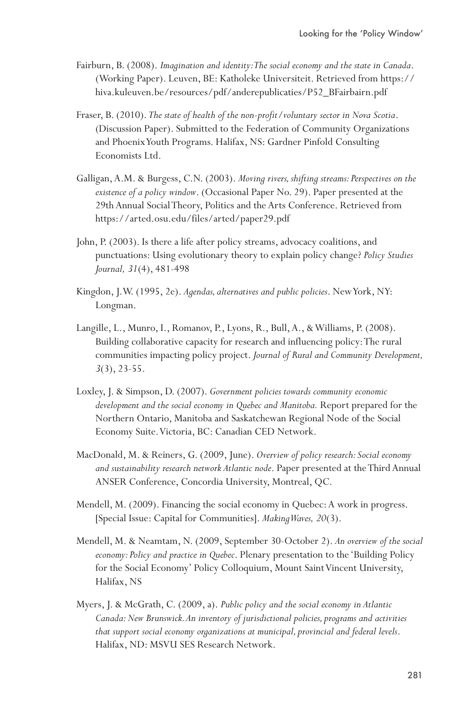- Fairburn, B. (2008). *Imagination and identity: The social economy and the state in Canada*. (Working Paper). Leuven, BE: Katholeke Universiteit. Retrieved from https:// hiva.kuleuven.be/resources/pdf/anderepublicaties/P52\_BFairbairn.pdf
- Fraser, B. (2010). *The state of health of the non-profit/voluntary sector in Nova Scotia*. (Discussion Paper). Submitted to the Federation of Community Organizations and Phoenix Youth Programs. Halifax, NS: Gardner Pinfold Consulting Economists Ltd.
- Galligan, A.M. & Burgess, C.N. (2003). *Moving rivers, shifting streams: Perspectives on the existence of a policy window*. (Occasional Paper No. 29). Paper presented at the 29th Annual Social Theory, Politics and the Arts Conference. Retrieved from https://arted.osu.edu/files/arted/paper29.pdf
- John, P. (2003). Is there a life after policy streams, advocacy coalitions, and punctuations: Using evolutionary theory to explain policy change? *Policy Studies Journal, 31*(4), 481-498
- Kingdon, J.W. (1995, 2e). *Agendas, alternatives and public policies*. New York, NY: Longman.
- Langille, L., Munro, I., Romanov, P., Lyons, R., Bull, A., & Williams, P. (2008). Building collaborative capacity for research and influencing policy: The rural communities impacting policy project. *Journal of Rural and Community Development, 3*(3), 23-55.
- Loxley, J. & Simpson, D. (2007). *Government policies towards community economic development and the social economy in Quebec and Manitoba.* Report prepared for the Northern Ontario, Manitoba and Saskatchewan Regional Node of the Social Economy Suite. Victoria, BC: Canadian CED Network.
- MacDonald, M. & Reiners, G. (2009, June). *Overview of policy research: Social economy and sustainability research network Atlantic node*. Paper presented at the Third Annual ANSER Conference, Concordia University, Montreal, QC.
- Mendell, M. (2009). Financing the social economy in Quebec: A work in progress. [Special Issue: Capital for Communities]. *Making Waves, 20*(3).
- Mendell, M. & Neamtam, N. (2009, September 30-October 2). *An overview of the social economy: Policy and practice in Quebec*. Plenary presentation to the 'Building Policy for the Social Economy' Policy Colloquium, Mount Saint Vincent University, Halifax, NS
- Myers, J. & McGrath, C. (2009, a). *Public policy and the social economy in Atlantic Canada: New Brunswick. An inventory of jurisdictional policies, programs and activities that support social economy organizations at municipal, provincial and federal levels*. Halifax, ND: MSVU SES Research Network.